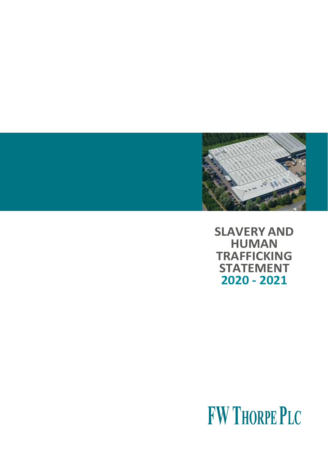

**SLAVERY AND HUMAN TRAFFICKING STATEMENT 2020 - 2021**

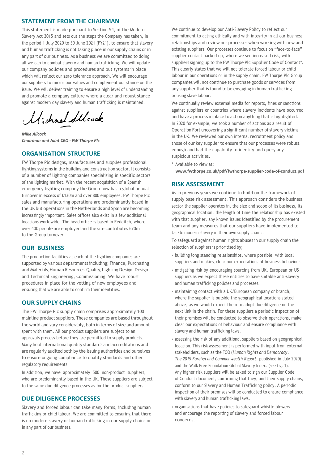## **STATEMENT FROM THE CHAIRMAN**

This statement is made pursuant to Section 54, of the Modern Slavery Act 2015 and sets out the steps the Company has taken, in the period 1 July 2020 to 30 June 2021 (FY21), to ensure that slavery and human trafficking is not taking place in our supply chains or in any part of our business. As a business we are committed to doing all we can to combat slavery and human trafficking. We will update our company policies and procedures and put systems in place which will reflect our zero tolerance approach. We will encourage our suppliers to mirror our values and complement our stance on the issue. We will deliver training to ensure a high level of understanding and promote a company culture where a clear and robust stance against modern day slavery and human trafficking is maintained.

Michael Stlock

*Mike Allcock Chairman and Joint CEO - FW Thorpe Plc*

#### **ORGANISATION STRUCTURE**

FW Thorpe Plc designs, manufactures and supplies professional lighting systems in the building and construction sector. It consists of a number of lighting companies specialising in specific sectors of the lighting market. With the recent acquisition of a Spanish emergency lighting company the Group now has a global annual turnover in excess of £130m and over 800 employees. FW Thorpe Plc sales and manufacturing operations are predominantly based in the UK but operations in the Netherlands and Spain are becoming increasingly important. Sales offices also exist in a few additional locations worldwide. The head office is based in Redditch, where over 400 people are employed and the site contributes £70m to the Group turnover.

#### **OUR BUSINESS**

The production facilities at each of the lighting companies are supported by various departments including; Finance, Purchasing and Materials, Human Resources, Quality, Lighting Design, Design and Technical Engineering, Commissioning. We have robust procedures in place for the vetting of new employees and ensuring that we are able to confirm their identities.

#### **OUR SUPPLY CHAINS**

The FW Thorpe Plc supply chain comprises approximately 100 mainline product suppliers. These companies are based throughout the world and vary considerably, both in terms of size and amount spent with them. All our product suppliers are subject to an approvals process before they are permitted to supply products. Many hold international quality standards and accreditations and are regularly audited both by the issuing authorities and ourselves to ensure ongoing compliance to quality standards and other regulatory requirements.

In addition, we have approximately 500 non-product suppliers, who are predominantly based in the UK. These suppliers are subject to the same due diligence processes as for the product suppliers.

#### **DUE DILIGENCE PROCESSES**

Slavery and forced labour can take many forms, including human trafficking or child labour. We are committed to ensuring that there is no modern slavery or human trafficking in our supply chains or in any part of our business.

We continue to develop our Anti-Slavery Policy to reflect our commitment to acting ethically and with integrity in all our business relationships and review our processes when working with new and existing suppliers. Our processes continue to focus on "face-to-face" supplier contact backed up, where we see increased risk, with suppliers signing up to the FW Thorpe Plc Supplier Code of Contact\*. This clearly states that we will not tolerate forced labour or child labour in our operations or in the supply chain. FW Thorpe Plc Group companies will not continue to purchase goods or services from any supplier that is found to be engaging in human trafficking or using slave labour.

We continually review external media for reports, fines or sanctions against suppliers or countries where slavery incidents have occurred and have a process in place to act on anything that is highlighted. In 2020 for example, we took a number of actions as a result of Operation Fort uncovering a significant number of slavery victims in the UK. We reviewed our own internal recruitment policy and those of our key supplier to ensure that our processes were robust enough and had the capability to identify and query any suspicious activities.

\* Available to view at:

**[www.fwthorpe.co.uk/pdf/fwthorpe-supplier-code-of-conduct.pdf](http://www.fwthorpe.co.uk/pdf/fwthorpe-supplier-code-of-conduct.pdf)**

#### **RISK ASSESSMENT**

As in previous years we continue to build on the framework of supply base risk assessment. This approach considers the business sector the supplier operates in, the size and scope of its business, its geographical location, the length of time the relationship has existed with that supplier, any known issues identified by the procurement team and any measures that our suppliers have implemented to tackle modern slavery in their own supply chains.

To safeguard against human rights abuses in our supply chain the selection of suppliers is prioritised by;

- building long standing relationships, where possible, with local suppliers and making clear our expectations of business behaviour.
- mitigating risk by encouraging sourcing from UK, European or US suppliers as we expect these entities to have suitable anti-slavery and human trafficking policies and processes.
- maintaining contact with a UK/European company or branch, where the supplier is outside the geographical locations stated above, as we would expect them to adopt due diligence on the next link in the chain. For these suppliers a periodic inspection of their premises will be conducted to observe their operations, make clear our expectations of behaviour and ensure compliance with slavery and human trafficking laws.
- assessing the risk of any additional suppliers based on geographical location. This risk assessment is performed with input from external stakeholders, such as the FCO (*Human Rights and Democracy : The 2019 Foreign and Commonwealth Report*, published in July 2020), and the Walk Free Foundation Global Slavery Index. (see fig. 1). Any higher risk suppliers will be asked to sign our Supplier Code of Conduct document, confirming that they, and their supply chains, conform to our Slavery and Human Trafficking policy. A periodic inspection of their premises will be conducted to ensure compliance with slavery and human trafficking laws.
- organisations that have policies to safeguard whistle blowers and encourage the reporting of slavery and forced labour concerns.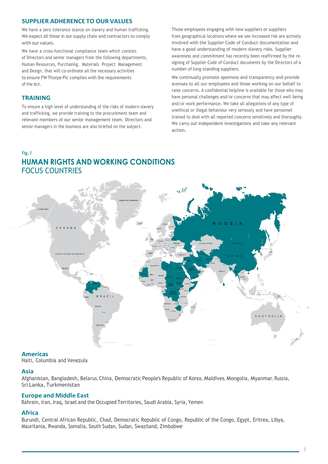# **SUPPLIER ADHERENCE TO OUR VALUES**

We have a zero tolerance stance on slavery and human trafficking. We expect all those in our supply chain and contractors to comply with our values.

We have a cross-functional compliance team which consists of Directors and senior managers from the following departments, Human Resources, Purchasing, Materials Project Management and Design, that will co-ordinate all the necessary activities to ensure FW Thorpe Plc complies with the requirements of the Act.

# **TRAINING**

To ensure a high level of understanding of the risks of modern slavery and trafficking, we provide training to the procurement team and relevant members of our senior management team. Directors and senior managers in the business are also briefed on the subject.

Those employees engaging with new suppliers or suppliers from geographical locations where we see increased risk are actively involved with the Supplier Code of Conduct documentation and have a good understanding of modern slavery risks. Supplier awareness and commitment has recently been reaffirmed by the resigning of Supplier Code of Conduct documents by the Directors of a number of long-standing suppliers.

We continually promote openness and transparency and provide avenues to all our employees and those working on our behalf to raise concerns. A confidential helpline is available for those who may have personal challenges and/or concerns that may affect well-being and/or work performance. We take all allegations of any type of unethical or illegal behaviour very seriously and have personnel trained to deal with all reported concerns sensitively and thoroughly. We carry out independent investigations and take any relevant action.

# fig.1 **HUMAN RIGHTS AND WORKING CONDITIONS** FOCUS COUNTRIES



## **Americas**

Haiti, Columbia and Venezula

## **Asia**

Afghanistan, Bangladesh, Belarus, China, Democratic People's Republic of Korea, Maldives, Mongolia, Myanmar, Russia, Sri Lanka, Turkmenistan

#### **Europe and Middle East**

Bahrain, Iran, Iraq, Israel and the Occupied Territories, Saudi Arabia, Syria, Yemen

## **Africa**

Burundi, Central African Republic, Chad, Democratic Republic of Congo, Republic of the Congo, Egypt, Eritrea, Libya, Mauritania, Rwanda, Somalia, South Sudan, Sudan, Swaziland, Zimbabwe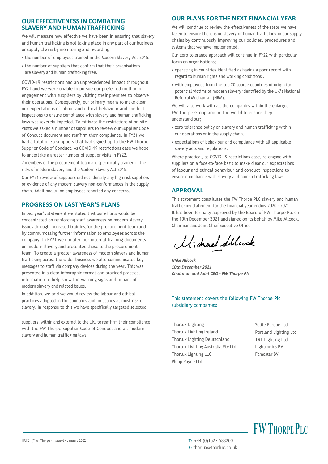## **OUR EFFECTIVENESS IN COMBATING SLAVERY AND HUMANTRAFFICKING**

We will measure how effective we have been in ensuring that slavery and human trafficking is not taking place in any part of our business or supply chains by monitoring and recording;

- the number of employees trained in the Modern Slavery Act 2015.
- the number of suppliers that confirm that their organisations are slavery and human trafficking free.

COVID-19 restrictions had an unprecedented impact throughout FY21 and we were unable to pursue our preferred method of engagement with suppliers by visiting their premises to observe their operations. Consequently, our primary means to make clear our expectations of labour and ethical behaviour and conduct inspections to ensure compliance with slavery and human trafficking laws was severely impeded. To mitigate the restrictions of on-site visits we asked a number of suppliers to review our Supplier Code of Conduct document and reaffirm their compliance. In FY21 we had a total of 35 suppliers that had signed up to the FW Thorpe Supplier Code of Conduct. As COVID-19 restrictions ease we hope to undertake a greater number of supplier visits in FY22.

7 members of the procurement team are specifically trained in the risks of modern slavery and the Modern Slavery Act 2015.

Our FY21 review of suppliers did not identify any high risk suppliers or evidence of any modern slavery non-conformances in the supply chain. Additionally, no employees reported any concerns.

# **PROGRESS ON LAST YEAR'S PLANS**

In last year's statement we stated that our efforts would be concentrated on reinforcing staff awareness on modern slavery issues through increased training for the procurement team and by communicating further information to employees across the company. In FY21 we updated our internal training documents on modern slavery and presented these to the procurement team. To create a greater awareness of modern slavery and human trafficking across the wider business we also communicated key messages to staff via company devices during the year. This was presented in a clear infographic format and provided practical information to help show the warning signs and impact of modern slavery and related issues.

In addition, we said we would review the labour and ethical practices adopted in the countries and industries at most risk of slavery. In response to this we have specifically targeted selected

suppliers, within and external to the UK, to reaffirm their compliance with the FW Thorpe Supplier Code of Conduct and all modern slavery and human trafficking laws.

# **OUR PLANS FOR THE NEXT FINANCIAL YEAR**

We will continue to review the effectiveness of the steps we have taken to ensure there is no slavery or human trafficking in our supply chains by continuously improving our policies, procedures and systems that we have implemented.

Our zero tolerance approach will continue in FY22 with particular focus on organisations;

- operating in countries identified as having a poor record with regard to human rights and working conditions .
- with employees from the top 20 source countries of origin for potential victims of modern slavery identified by the UK's National Referral Mechanism (NRM).

We will also work with all the companies within the enlarged FW Thorpe Group around the world to ensure they understand our;

- zero tolerance policy on slavery and human trafficking within our operations or in the supply chain.
- expectations of behaviour and compliance with all applicable slavery acts and regulations.

Where practical, as COVID-19 restrictions ease, re-engage with suppliers on a face-to-face basis to make clear our expectations of labour and ethical behaviour and conduct inspections to ensure compliance with slavery and human trafficking laws.

# **APPROVAL**

This statement constitutes the FW Thorpe PLC slavery and human trafficking statement for the financial year ending 2020 - 2021. It has been formally approved by the Board of FW Thorpe Plc on the 10th December 2021 and signed on its behalf by Mike Allcock, Chairman and Joint Chief Executive Officer.

Michael Stleock

*Mike Allcock 10th December 2021 Chairman and Joint CEO - FW Thorpe Plc*

#### This statement covers the following FW Thorpe Plc subsidiary companies:

Thorlux Lighting Thorlux Lighting Ireland Thorlux Lighting Deutschland Thorlux Lighting Australia Pty Ltd Thorlux Lighting LLC Philip Payne Ltd

Solite Europe Ltd Portland Lighting Ltd TRT Lighting Ltd Lightronics BV Famostar BV